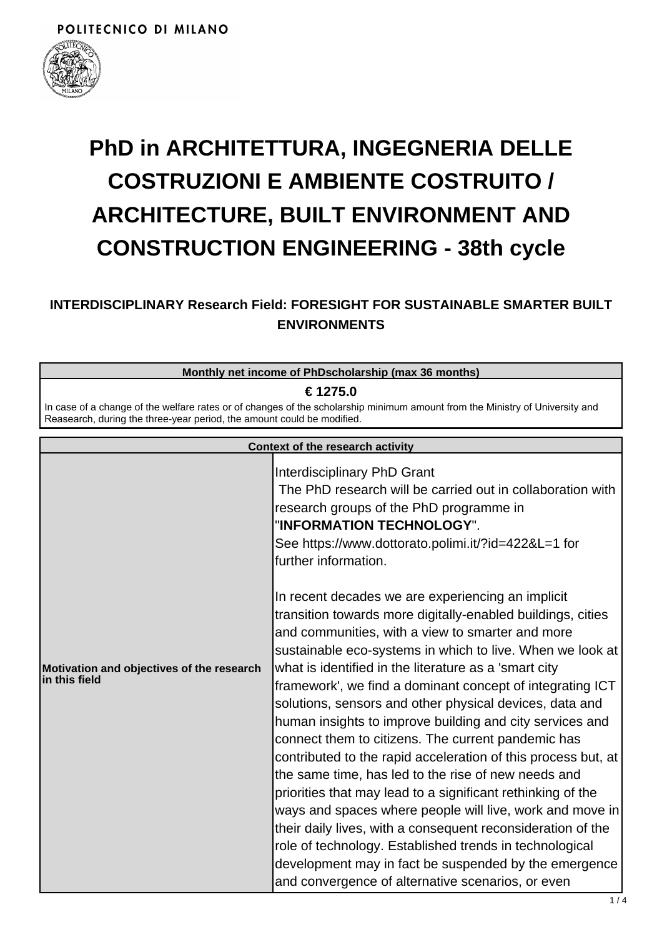

# **PhD in ARCHITETTURA, INGEGNERIA DELLE COSTRUZIONI E AMBIENTE COSTRUITO / ARCHITECTURE, BUILT ENVIRONMENT AND CONSTRUCTION ENGINEERING - 38th cycle**

## **INTERDISCIPLINARY Research Field: FORESIGHT FOR SUSTAINABLE SMARTER BUILT ENVIRONMENTS**

#### **Monthly net income of PhDscholarship (max 36 months)**

#### **€ 1275.0**

In case of a change of the welfare rates or of changes of the scholarship minimum amount from the Ministry of University and Reasearch, during the three-year period, the amount could be modified.

| <b>Context of the research activity</b>                    |                                                                                                                                                                                                                                                                                                                                                                                                                                                                                                                                                                                                                                                                                                                                                                                                                                                                                                                                                                                                                                 |
|------------------------------------------------------------|---------------------------------------------------------------------------------------------------------------------------------------------------------------------------------------------------------------------------------------------------------------------------------------------------------------------------------------------------------------------------------------------------------------------------------------------------------------------------------------------------------------------------------------------------------------------------------------------------------------------------------------------------------------------------------------------------------------------------------------------------------------------------------------------------------------------------------------------------------------------------------------------------------------------------------------------------------------------------------------------------------------------------------|
|                                                            | Interdisciplinary PhD Grant<br>The PhD research will be carried out in collaboration with<br>research groups of the PhD programme in<br>"INFORMATION TECHNOLOGY".<br>See https://www.dottorato.polimi.it/?id=422&L=1 for<br>further information.                                                                                                                                                                                                                                                                                                                                                                                                                                                                                                                                                                                                                                                                                                                                                                                |
| Motivation and objectives of the research<br>in this field | In recent decades we are experiencing an implicit<br>transition towards more digitally-enabled buildings, cities<br>and communities, with a view to smarter and more<br>sustainable eco-systems in which to live. When we look at<br>what is identified in the literature as a 'smart city<br>framework', we find a dominant concept of integrating ICT<br>solutions, sensors and other physical devices, data and<br>human insights to improve building and city services and<br>connect them to citizens. The current pandemic has<br>contributed to the rapid acceleration of this process but, at<br>the same time, has led to the rise of new needs and<br>priorities that may lead to a significant rethinking of the<br>ways and spaces where people will live, work and move in<br>their daily lives, with a consequent reconsideration of the<br>role of technology. Established trends in technological<br>development may in fact be suspended by the emergence<br>and convergence of alternative scenarios, or even |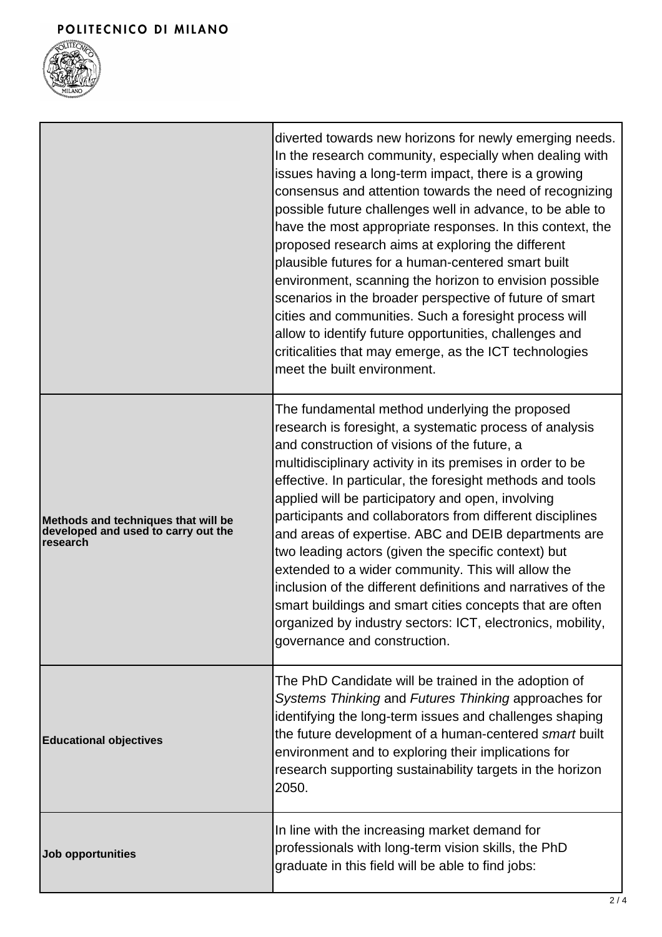## POLITECNICO DI MILANO



|                                                                                        | diverted towards new horizons for newly emerging needs.<br>In the research community, especially when dealing with<br>issues having a long-term impact, there is a growing<br>consensus and attention towards the need of recognizing<br>possible future challenges well in advance, to be able to<br>have the most appropriate responses. In this context, the<br>proposed research aims at exploring the different<br>plausible futures for a human-centered smart built<br>environment, scanning the horizon to envision possible<br>scenarios in the broader perspective of future of smart<br>cities and communities. Such a foresight process will<br>allow to identify future opportunities, challenges and<br>criticalities that may emerge, as the ICT technologies<br>meet the built environment. |
|----------------------------------------------------------------------------------------|-------------------------------------------------------------------------------------------------------------------------------------------------------------------------------------------------------------------------------------------------------------------------------------------------------------------------------------------------------------------------------------------------------------------------------------------------------------------------------------------------------------------------------------------------------------------------------------------------------------------------------------------------------------------------------------------------------------------------------------------------------------------------------------------------------------|
| Methods and techniques that will be<br>developed and used to carry out the<br>research | The fundamental method underlying the proposed<br>research is foresight, a systematic process of analysis<br>and construction of visions of the future, a<br>multidisciplinary activity in its premises in order to be<br>effective. In particular, the foresight methods and tools<br>applied will be participatory and open, involving<br>participants and collaborators from different disciplines<br>and areas of expertise. ABC and DEIB departments are<br>two leading actors (given the specific context) but<br>extended to a wider community. This will allow the<br>inclusion of the different definitions and narratives of the<br>smart buildings and smart cities concepts that are often<br>organized by industry sectors: ICT, electronics, mobility,<br>governance and construction.        |
| <b>Educational objectives</b>                                                          | The PhD Candidate will be trained in the adoption of<br>Systems Thinking and Futures Thinking approaches for<br>identifying the long-term issues and challenges shaping<br>the future development of a human-centered smart built<br>environment and to exploring their implications for<br>research supporting sustainability targets in the horizon<br>2050.                                                                                                                                                                                                                                                                                                                                                                                                                                              |
| <b>Job opportunities</b>                                                               | In line with the increasing market demand for<br>professionals with long-term vision skills, the PhD<br>graduate in this field will be able to find jobs:                                                                                                                                                                                                                                                                                                                                                                                                                                                                                                                                                                                                                                                   |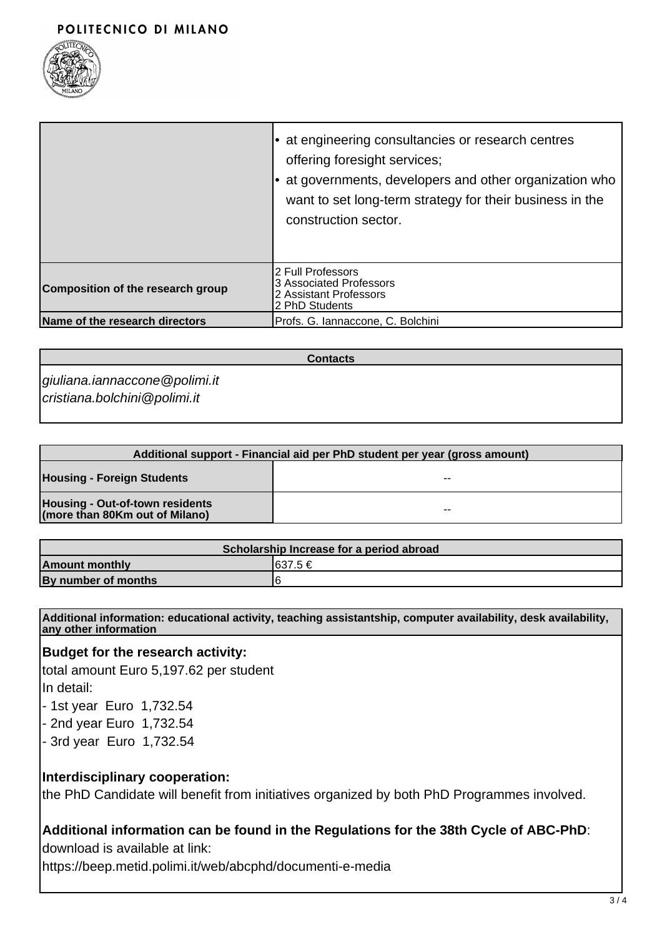

|                                   | at engineering consultancies or research centres<br>offering foresight services;<br>at governments, developers and other organization who<br>want to set long-term strategy for their business in the<br>construction sector. |
|-----------------------------------|-------------------------------------------------------------------------------------------------------------------------------------------------------------------------------------------------------------------------------|
| Composition of the research group | 2 Full Professors<br>3 Associated Professors<br>2 Assistant Professors<br>2 PhD Students                                                                                                                                      |
| Name of the research directors    | Profs. G. Iannaccone, C. Bolchini                                                                                                                                                                                             |

**Contacts**

giuliana.iannaccone@polimi.it cristiana.bolchini@polimi.it

| Additional support - Financial aid per PhD student per year (gross amount) |    |
|----------------------------------------------------------------------------|----|
| <b>Housing - Foreign Students</b>                                          | -- |
| Housing - Out-of-town residents<br>(more than 80Km out of Milano)          | -- |

| Scholarship Increase for a period abroad |          |  |
|------------------------------------------|----------|--|
| <b>Amount monthly</b>                    | I637.5 € |  |
| By number of months                      | F        |  |

**Additional information: educational activity, teaching assistantship, computer availability, desk availability, any other information**

#### **Budget for the research activity:**

total amount Euro 5,197.62 per student In detail:

- 1st year Euro 1,732.54
- 2nd year Euro 1,732.54
- 3rd year Euro 1,732.54

#### **Interdisciplinary cooperation:**

the PhD Candidate will benefit from initiatives organized by both PhD Programmes involved.

#### **Additional information can be found in the Regulations for the 38th Cycle of ABC-PhD**:

download is available at link:

https://beep.metid.polimi.it/web/abcphd/documenti-e-media